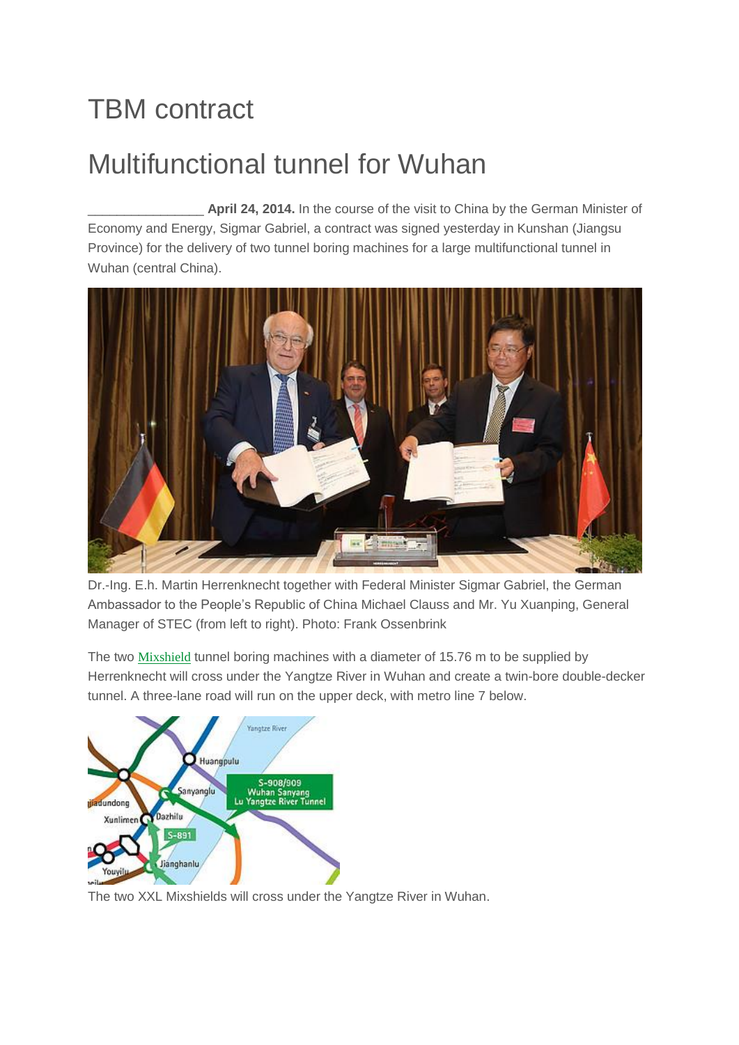## TBM contract

## Multifunctional tunnel for Wuhan

\_\_\_\_\_\_\_\_\_\_\_\_\_\_\_\_ **April 24, 2014.** In the course of the visit to China by the German Minister of Economy and Energy, Sigmar Gabriel, a contract was signed yesterday in Kunshan (Jiangsu Province) for the delivery of two tunnel boring machines for a large multifunctional tunnel in Wuhan (central China).



Dr.-Ing. E.h. Martin Herrenknecht together with Federal Minister Sigmar Gabriel, the German Ambassador to the People's Republic of China Michael Clauss and Mr. Yu Xuanping, General Manager of STEC (from left to right). Photo: Frank Ossenbrink

The two **[Mixshield](http://www.herrenknecht.com/de/produkte/kernprodukte/tunnelling-pipelines/mixschild.html)** tunnel boring machines with a diameter of 15.76 m to be supplied by Herrenknecht will cross under the Yangtze River in Wuhan and create a twin-bore double-decker tunnel. A three-lane road will run on the upper deck, with metro line 7 below.



The two XXL Mixshields will cross under the Yangtze River in Wuhan.